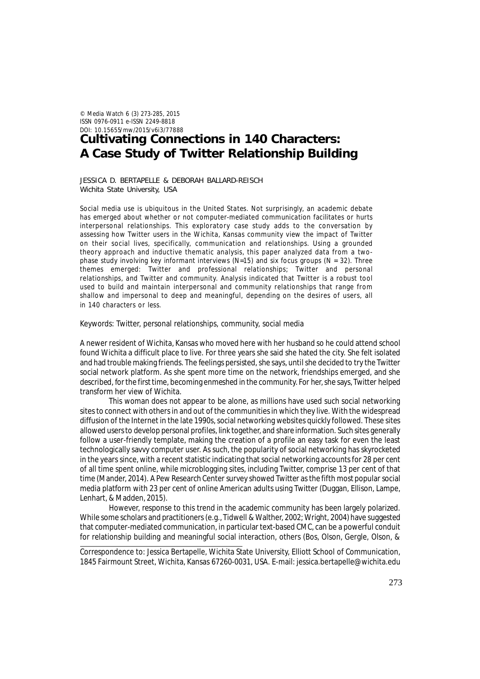© *Media Watch* 6 (3) 273-285, 2015 ISSN 0976-0911 e-ISSN 2249-8818 DOI: 10.15655/mw/2015/v6i3/77888

# **Cultivating Connections in 140 Characters: A Case Study of Twitter Relationship Building**

JESSICA D. BERTAPELLE & DEBORAH BALLARD-REISCH Wichita State University, USA

Social media use is ubiquitous in the United States. Not surprisingly, an academic debate has emerged about whether or not computer-mediated communication facilitates or hurts interpersonal relationships. This exploratory case study adds to the conversation by assessing how Twitter users in the Wichita, Kansas community view the impact of Twitter on their social lives, specifically, communication and relationships. Using a grounded theory approach and inductive thematic analysis, this paper analyzed data from a twophase study involving key informant interviews ( $N=15$ ) and six focus groups ( $N = 32$ ). Three themes emerged: Twitter and professional relationships; Twitter and personal relationships, and Twitter and community. Analysis indicated that Twitter is a robust tool used to build and maintain interpersonal and community relationships that range from shallow and impersonal to deep and meaningful, depending on the desires of users, all in 140 characters or less.

Keywords: Twitter, personal relationships, community, social media

A newer resident of Wichita, Kansas who moved here with her husband so he could attend school found Wichita a difficult place to live. For three years she said she hated the city. She felt isolated and had trouble making friends. The feelings persisted, she says, until she decided to try the Twitter social network platform. As she spent more time on the network, friendships emerged, and she described, for the first time, becoming enmeshed in the community. For her, she says, Twitter helped transform her view of Wichita.

This woman does not appear to be alone, as millions have used such social networking sites to connect with others in and out of the communities in which they live. With the widespread diffusion of the Internet in the late 1990s, social networking websites quickly followed. These sites allowed users to develop personal profiles, link together, and share information. Such sites generally follow a user-friendly template, making the creation of a profile an easy task for even the least technologically savvy computer user. As such, the popularity of social networking has skyrocketed in the years since, with a recent statistic indicating that social networking accounts for 28 per cent of all time spent online, while microblogging sites, including Twitter, comprise 13 per cent of that time (Mander, 2014). A Pew Research Center survey showed Twitter as the fifth most popular social media platform with 23 per cent of online American adults using Twitter (Duggan, Ellison, Lampe, Lenhart, & Madden, 2015).

However, response to this trend in the academic community has been largely polarized. While some scholars and practitioners (e.g., Tidwell & Walther, 2002; Wright, 2004) have suggested that computer-mediated communication, in particular text-based CMC, can be a powerful conduit for relationship building and meaningful social interaction, others (Bos, Olson, Gergle, Olson, &

Correspondence to: Jessica Bertapelle, Wichita State University, Elliott School of Communication, 1845 Fairmount Street, Wichita, Kansas 67260-0031, USA. E-mail: jessica.bertapelle@wichita.edu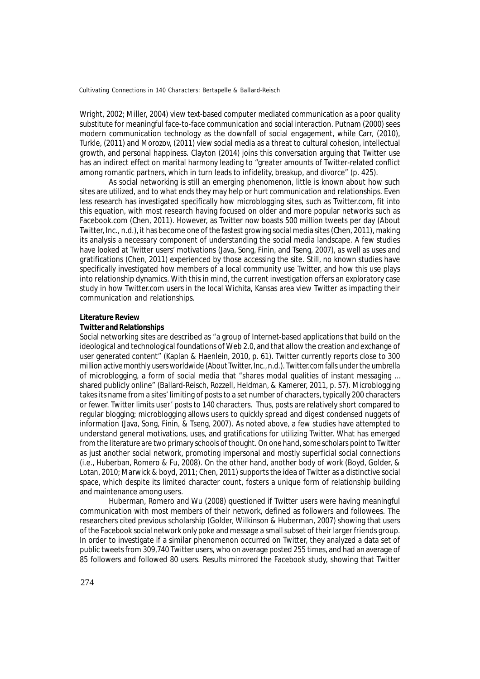Wright, 2002; Miller, 2004) view text-based computer mediated communication as a poor quality substitute for meaningful face-to-face communication and social interaction. Putnam (2000) sees modern communication technology as the downfall of social engagement, while Carr, (2010), Turkle, (2011) and Morozov, (2011) view social media as a threat to cultural cohesion, intellectual growth, and personal happiness. Clayton (2014) joins this conversation arguing that Twitter use has an indirect effect on marital harmony leading to "greater amounts of Twitter-related conflict among romantic partners, which in turn leads to infidelity, breakup, and divorce" (p. 425).

As social networking is still an emerging phenomenon, little is known about how such sites are utilized, and to what ends they may help or hurt communication and relationships. Even less research has investigated specifically how microblogging sites, such as Twitter.com, fit into this equation, with most research having focused on older and more popular networks such as Facebook.com (Chen, 2011). However, as Twitter now boasts 500 million tweets per day (About Twitter, Inc., n.d.), it has become one of the fastest growing social media sites (Chen, 2011), making its analysis a necessary component of understanding the social media landscape. A few studies have looked at Twitter users' motivations (Java, Song, Finin, and Tseng, 2007), as well as uses and gratifications (Chen, 2011) experienced by those accessing the site. Still, no known studies have specifically investigated how members of a local community use Twitter, and how this use plays into relationship dynamics. With this in mind, the current investigation offers an exploratory case study in how Twitter.com users in the local Wichita, Kansas area view Twitter as impacting their communication and relationships.

#### **Literature Review**

#### *Twitter and Relationships*

Social networking sites are described as "a group of Internet-based applications that build on the ideological and technological foundations of Web 2.0, and that allow the creation and exchange of user generated content" (Kaplan & Haenlein, 2010, p. 61). Twitter currently reports close to 300 million active monthly users worldwide (About Twitter, Inc., n.d.). Twitter.com falls under the umbrella of microblogging, a form of social media that "shares modal qualities of instant messaging … shared publicly online" (Ballard-Reisch, Rozzell, Heldman, & Kamerer, 2011, p. 57). Microblogging takes its name from a sites' limiting of posts to a set number of characters, typically 200 characters or fewer. Twitter limits user' posts to 140 characters. Thus, posts are relatively short compared to regular blogging; microblogging allows users to quickly spread and digest condensed nuggets of information (Java, Song, Finin, & Tseng, 2007). As noted above, a few studies have attempted to understand general motivations, uses, and gratifications for utilizing Twitter. What has emerged from the literature are two primary schools of thought. On one hand, some scholars point to Twitter as just another social network, promoting impersonal and mostly superficial social connections (i.e., Huberban, Romero & Fu, 2008). On the other hand, another body of work (Boyd, Golder, & Lotan, 2010; Marwick & boyd, 2011; Chen, 2011) supports the idea of Twitter as a distinctive social space, which despite its limited character count, fosters a unique form of relationship building and maintenance among users.

Huberman, Romero and Wu (2008) questioned if Twitter users were having meaningful communication with most members of their network, defined as followers and followees. The researchers cited previous scholarship (Golder, Wilkinson & Huberman, 2007) showing that users of the Facebook social network only poke and message a small subset of their larger friends group. In order to investigate if a similar phenomenon occurred on Twitter, they analyzed a data set of public tweets from 309,740 Twitter users, who on average posted 255 times, and had an average of 85 followers and followed 80 users. Results mirrored the Facebook study, showing that Twitter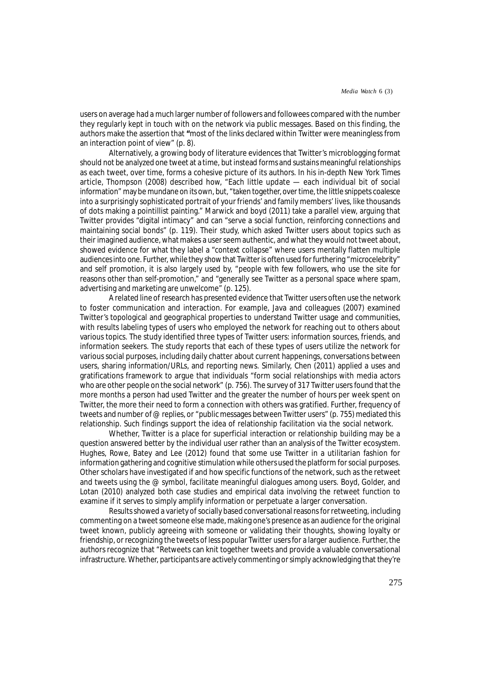users on average had a much larger number of followers and followees compared with the number they regularly kept in touch with on the network via public messages. Based on this finding, the authors make the assertion that **"**most of the links declared within Twitter were meaningless from an interaction point of view" (p. 8).

Alternatively, a growing body of literature evidences that Twitter's microblogging format should not be analyzed one tweet at a time, but instead forms and sustains meaningful relationships as each tweet, over time, forms a cohesive picture of its authors. In his in-depth *New York Times* article, Thompson (2008) described how, "Each little update — each individual bit of social information" may be mundane on its own, but, "taken together, over time, the little snippets coalesce into a surprisingly sophisticated portrait of your friends' and family members' lives, like thousands of dots making a pointillist painting." Marwick and boyd (2011) take a parallel view, arguing that Twitter provides "digital intimacy" and can "serve a social function, reinforcing connections and maintaining social bonds" (p. 119). Their study, which asked Twitter users about topics such as their imagined audience, what makes a user seem authentic, and what they would not tweet about, showed evidence for what they label a "context collapse" where users mentally flatten multiple audiences into one. Further, while they show that Twitter is often used for furthering "microcelebrity" and self promotion, it is also largely used by, "people with few followers, who use the site for reasons other than self-promotion," and "generally see Twitter as a *personal* space where spam, advertising and marketing are unwelcome" (p. 125).

A related line of research has presented evidence that Twitter users often use the network to foster communication and interaction. For example, Java and colleagues (2007) examined Twitter's topological and geographical properties to understand Twitter usage and communities, with results labeling types of users who employed the network for reaching out to others about various topics. The study identified three types of Twitter users: information sources, friends, and information seekers. The study reports that each of these types of users utilize the network for various social purposes, including daily chatter about current happenings, conversations between users, sharing information/URLs, and reporting news. Similarly, Chen (2011) applied a uses and gratifications framework to argue that individuals "form social relationships with media actors who are other people on the social network" (p. 756). The survey of 317 Twitter users found that the more months a person had used Twitter and the greater the number of hours per week spent on Twitter, the more their need to form a connection with others was gratified. Further, frequency of tweets and number of @ replies, or "public messages between Twitter users" (p. 755) mediated this relationship. Such findings support the idea of relationship facilitation via the social network.

Whether, Twitter is a place for superficial interaction or relationship building may be a question answered better by the individual user rather than an analysis of the Twitter ecosystem. Hughes, Rowe, Batey and Lee (2012) found that some use Twitter in a utilitarian fashion for information gathering and cognitive stimulation while others used the platform for social purposes. Other scholars have investigated if and how specific functions of the network, such as the retweet and tweets using the @ symbol, facilitate meaningful dialogues among users. Boyd, Golder, and Lotan (2010) analyzed both case studies and empirical data involving the retweet function to examine if it serves to simply amplify information or perpetuate a larger conversation.

Results showed a variety of socially based conversational reasons for retweeting, including commenting on a tweet someone else made, making one's presence as an audience for the original tweet known, publicly agreeing with someone or validating their thoughts, showing loyalty or friendship, or recognizing the tweets of less popular Twitter users for a larger audience. Further, the authors recognize that "Retweets can knit together tweets and provide a valuable conversational infrastructure. Whether, participants are actively commenting or simply acknowledging that they're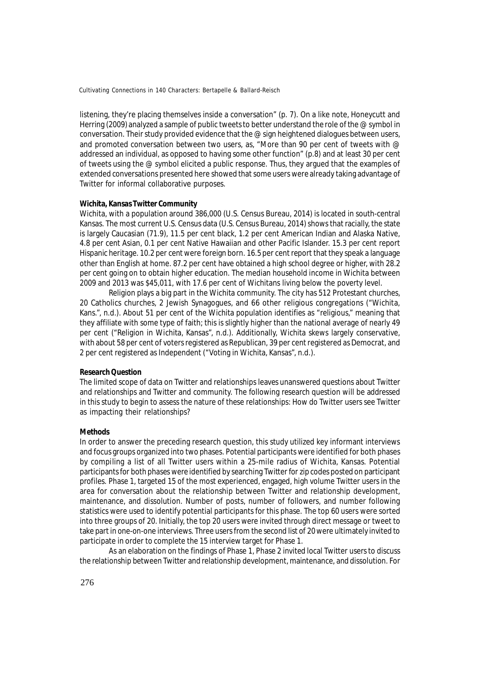listening, they're placing themselves inside a conversation" (p. 7). On a like note, Honeycutt and Herring (2009) analyzed a sample of public tweets to better understand the role of the @ symbol in conversation. Their study provided evidence that the @ sign heightened dialogues between users, and promoted conversation between two users, as, "More than 90 per cent of tweets with @ addressed an individual, as opposed to having some other function" (p.8) and at least 30 per cent of tweets using the @ symbol elicited a public response. Thus, they argued that the examples of extended conversations presented here showed that some users were already taking advantage of Twitter for informal collaborative purposes.

#### **Wichita, Kansas Twitter Community**

Wichita, with a population around 386,000 (U.S. Census Bureau, 2014) is located in south-central Kansas. The most current U.S. Census data (U.S. Census Bureau, 2014) shows that racially, the state is largely Caucasian (71.9), 11.5 per cent black, 1.2 per cent American Indian and Alaska Native, 4.8 per cent Asian, 0.1 per cent Native Hawaiian and other Pacific Islander. 15.3 per cent report Hispanic heritage. 10.2 per cent were foreign born. 16.5 per cent report that they speak a language other than English at home. 87.2 per cent have obtained a high school degree or higher, with 28.2 per cent going on to obtain higher education. The median household income in Wichita between 2009 and 2013 was \$45,011, with 17.6 per cent of Wichitans living below the poverty level.

Religion plays a big part in the Wichita community. The city has 512 Protestant churches, 20 Catholics churches, 2 Jewish Synagogues, and 66 other religious congregations ("Wichita, Kans.", n.d.). About 51 per cent of the Wichita population identifies as "religious," meaning that they affiliate with some type of faith; this is slightly higher than the national average of nearly 49 per cent ("Religion in Wichita, Kansas", n.d.). Additionally, Wichita skews largely conservative, with about 58 per cent of voters registered as Republican, 39 per cent registered as Democrat, and 2 per cent registered as Independent ("Voting in Wichita, Kansas", n.d.).

#### **Research Question**

The limited scope of data on Twitter and relationships leaves unanswered questions about Twitter and relationships and Twitter and community. The following research question will be addressed in this study to begin to assess the nature of these relationships: How do Twitter users see Twitter as impacting their relationships?

# **Methods**

In order to answer the preceding research question, this study utilized key informant interviews and focus groups organized into two phases. Potential participants were identified for both phases by compiling a list of all Twitter users within a 25-mile radius of Wichita, Kansas. Potential participants for both phases were identified by searching Twitter for zip codes posted on participant profiles. Phase 1, targeted 15 of the most experienced, engaged, high volume Twitter users in the area for conversation about the relationship between Twitter and relationship development, maintenance, and dissolution. Number of posts, number of followers, and number following statistics were used to identify potential participants for this phase. The top 60 users were sorted into three groups of 20. Initially, the top 20 users were invited through direct message or tweet to take part in one-on-one interviews. Three users from the second list of 20 were ultimately invited to participate in order to complete the 15 interview target for Phase 1.

As an elaboration on the findings of Phase 1, Phase 2 invited local Twitter users to discuss the relationship between Twitter and relationship development, maintenance, and dissolution. For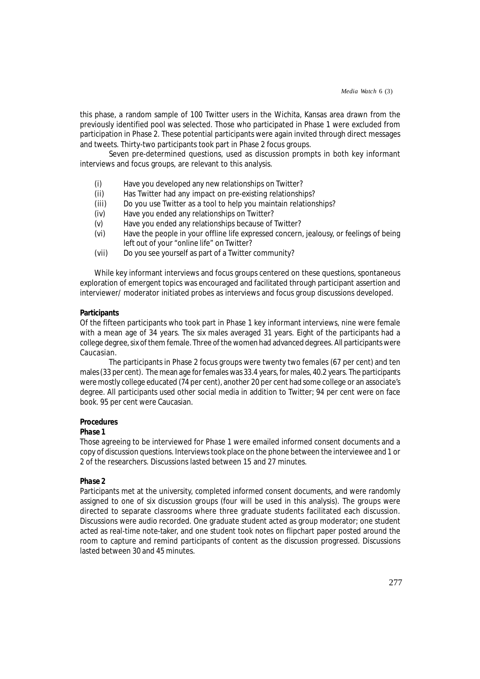this phase, a random sample of 100 Twitter users in the Wichita, Kansas area drawn from the previously identified pool was selected. Those who participated in Phase 1 were excluded from participation in Phase 2. These potential participants were again invited through direct messages and tweets. Thirty-two participants took part in Phase 2 focus groups.

Seven pre-determined questions, used as discussion prompts in both key informant interviews and focus groups, are relevant to this analysis.

- (i) Have you developed any new relationships on Twitter?<br>(ii) Has Twitter had any impact on pre-existing relationshi
- Has Twitter had any impact on pre-existing relationships?
- (iii) Do you use Twitter as a tool to help you maintain relationships?
- (iv) Have you ended any relationships on Twitter?
- (v) Have you ended any relationships because of Twitter?
- (vi) Have the people in your offline life expressed concern, jealousy, or feelings of being left out of your "online life" on Twitter?
- (vii) Do you see yourself as part of a Twitter community?

While key informant interviews and focus groups centered on these questions, spontaneous exploration of emergent topics was encouraged and facilitated through participant assertion and interviewer/ moderator initiated probes as interviews and focus group discussions developed.

# **Participants**

Of the fifteen participants who took part in Phase 1 key informant interviews, nine were female with a mean age of 34 years. The six males averaged 31 years. Eight of the participants had a college degree, six of them female. Three of the women had advanced degrees. All participants were Caucasian.

The participants in Phase 2 focus groups were twenty two females (67 per cent) and ten males (33 per cent). The mean age for females was 33.4 years, for males, 40.2 years. The participants were mostly college educated (74 per cent), another 20 per cent had some college or an associate's degree. All participants used other social media in addition to Twitter; 94 per cent were on face book. 95 per cent were Caucasian.

# **Procedures**

# *Phase 1*

Those agreeing to be interviewed for Phase 1 were emailed informed consent documents and a copy of discussion questions. Interviews took place on the phone between the interviewee and 1 or 2 of the researchers. Discussions lasted between 15 and 27 minutes.

# *Phase 2*

Participants met at the university, completed informed consent documents, and were randomly assigned to one of six discussion groups (four will be used in this analysis). The groups were directed to separate classrooms where three graduate students facilitated each discussion. Discussions were audio recorded. One graduate student acted as group moderator; one student acted as real-time note-taker, and one student took notes on flipchart paper posted around the room to capture and remind participants of content as the discussion progressed. Discussions lasted between 30 and 45 minutes.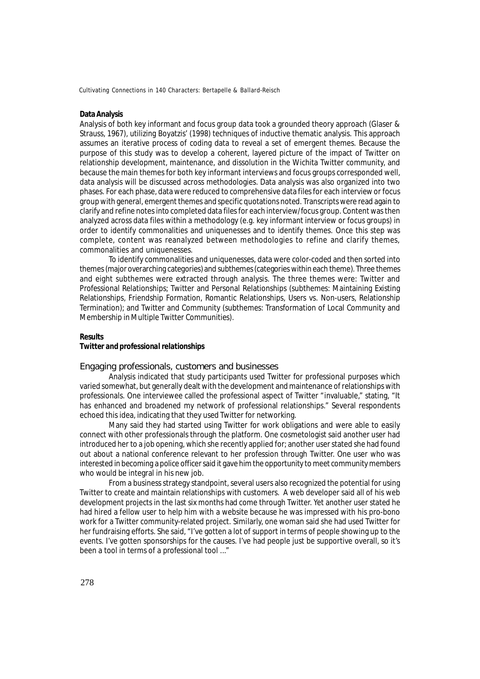# **Data Analysis**

Analysis of both key informant and focus group data took a grounded theory approach (Glaser & Strauss, 1967), utilizing Boyatzis' (1998) techniques of inductive thematic analysis. This approach assumes an iterative process of coding data to reveal a set of emergent themes. Because the purpose of this study was to develop a coherent, layered picture of the impact of Twitter on relationship development, maintenance, and dissolution in the Wichita Twitter community, and because the main themes for both key informant interviews and focus groups corresponded well, data analysis will be discussed across methodologies. Data analysis was also organized into two phases. For each phase, data were reduced to comprehensive data files for each interview or focus group with general, emergent themes and specific quotations noted. Transcripts were read again to clarify and refine notes into completed data files for each interview/focus group. Content was then analyzed across data files within a methodology (e.g. key informant interview or focus groups) in order to identify commonalities and uniquenesses and to identify themes. Once this step was complete, content was reanalyzed between methodologies to refine and clarify themes, commonalities and uniquenesses.

To identify commonalities and uniquenesses, data were color-coded and then sorted into themes (major overarching categories) and subthemes (categories within each theme). Three themes and eight subthemes were extracted through analysis. The three themes were: Twitter and Professional Relationships; Twitter and Personal Relationships (subthemes: Maintaining Existing Relationships, Friendship Formation, Romantic Relationships, Users vs. Non-users, Relationship Termination); and Twitter and Community (subthemes: Transformation of Local Community and Membership in Multiple Twitter Communities).

#### **Results**

# *Twitter and professional relationships*

Engaging professionals, customers and businesses

Analysis indicated that study participants used Twitter for professional purposes which varied somewhat, but generally dealt with the development and maintenance of relationships with professionals. One interviewee called the professional aspect of Twitter "invaluable," stating, "It has enhanced and broadened my network of professional relationships." Several respondents echoed this idea, indicating that they used Twitter for networking.

Many said they had started using Twitter for work obligations and were able to easily connect with other professionals through the platform. One cosmetologist said another user had introduced her to a job opening, which she recently applied for; another user stated she had found out about a national conference relevant to her profession through Twitter. One user who was interested in becoming a police officer said it gave him the opportunity to meet community members who would be integral in his new job.

From a business strategy standpoint, several users also recognized the potential for using Twitter to create and maintain relationships with customers. A web developer said all of his web development projects in the last six months had come through Twitter. Yet another user stated he had hired a fellow user to help him with a website because he was impressed with his pro-bono work for a Twitter community-related project. Similarly, one woman said she had used Twitter for her fundraising efforts. She said, "I've gotten a lot of support in terms of people showing up to the events. I've gotten sponsorships for the causes. I've had people just be supportive overall, so it's been a tool in terms of a professional tool ..."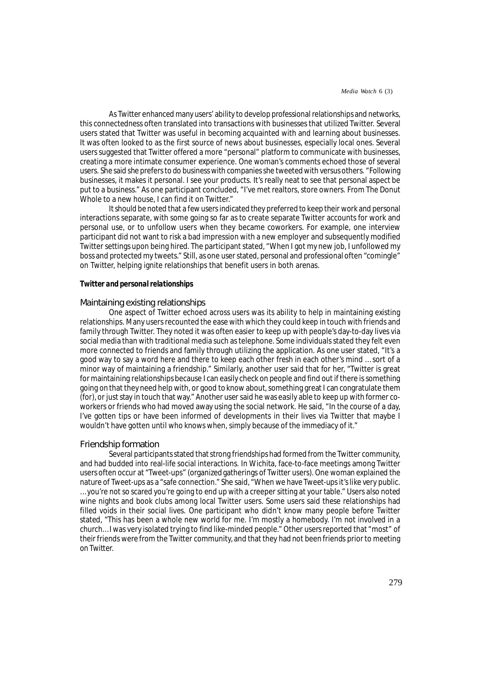As Twitter enhanced many users' ability to develop professional relationships and networks, this connectedness often translated into transactions with businesses that utilized Twitter. Several users stated that Twitter was useful in becoming acquainted with and learning about businesses. It was often looked to as the first source of news about businesses, especially local ones. Several users suggested that Twitter offered a more "personal" platform to communicate with businesses, creating a more intimate consumer experience. One woman's comments echoed those of several users. She said she prefers to do business with companies she tweeted with versus others. "Following businesses, it makes it personal. I see your products. It's really neat to see that personal aspect be put to a business." As one participant concluded, "I've met realtors, store owners. From The Donut Whole to a new house, I can find it on Twitter."

It should be noted that a few users indicated they preferred to keep their work and personal interactions separate, with some going so far as to create separate Twitter accounts for work and personal use, or to unfollow users when they became coworkers. For example, one interview participant did not want to risk a bad impression with a new employer and subsequently modified Twitter settings upon being hired. The participant stated, "When I got my new job, I unfollowed my boss and protected my tweets." Still, as one user stated, personal and professional often "comingle" on Twitter, helping ignite relationships that benefit users in both arenas.

#### *Twitter and personal relationships*

#### Maintaining existing relationships

One aspect of Twitter echoed across users was its ability to help in maintaining existing relationships. Many users recounted the ease with which they could keep in touch with friends and family through Twitter. They noted it was often easier to keep up with people's day-to-day lives via social media than with traditional media such as telephone. Some individuals stated they felt even more connected to friends and family through utilizing the application. As one user stated, "It's a good way to say a word here and there to keep each other fresh in each other's mind … sort of a minor way of maintaining a friendship." Similarly, another user said that for her, "Twitter is great for maintaining relationships because I can easily check on people and find out if there is something going on that they need help with, or good to know about, something great I can congratulate them (for), or just stay in touch that way." Another user said he was easily able to keep up with former coworkers or friends who had moved away using the social network. He said, "In the course of a day, I've gotten tips or have been informed of developments in their lives via Twitter that maybe I wouldn't have gotten until who knows when, simply because of the immediacy of it."

#### Friendship formation

Several participants stated that strong friendships had formed from the Twitter community, and had budded into real-life social interactions. In Wichita, face-to-face meetings among Twitter users often occur at "Tweet-ups" (organized gatherings of Twitter users). One woman explained the nature of Tweet-ups as a "safe connection." She said, "When we have Tweet-ups it's like very public. … you're not so scared you're going to end up with a creeper sitting at your table." Users also noted wine nights and book clubs among local Twitter users. Some users said these relationships had filled voids in their social lives. One participant who didn't know many people before Twitter stated, "This has been a whole new world for me. I'm mostly a homebody. I'm not involved in a church… I was very isolated trying to find like-minded people." Other users reported that "most" of their friends were from the Twitter community, and that they had not been friends prior to meeting on Twitter.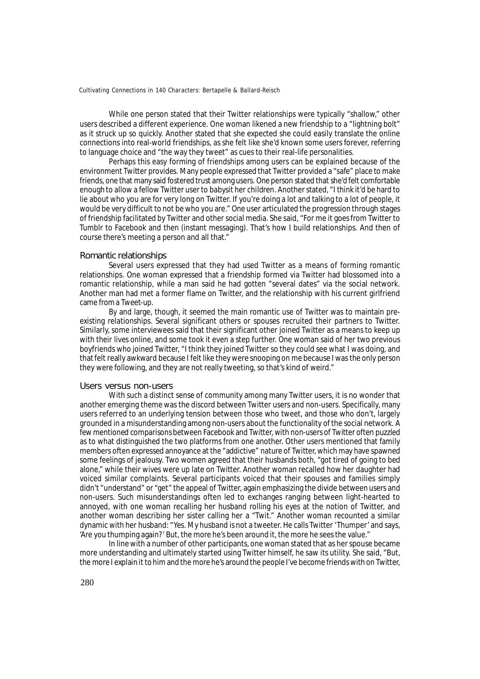While one person stated that their Twitter relationships were typically "shallow," other users described a different experience. One woman likened a new friendship to a "lightning bolt" as it struck up so quickly. Another stated that she expected she could easily translate the online connections into real-world friendships, as she felt like she'd known some users forever, referring to language choice and "the way they tweet" as cues to their real-life personalities.

Perhaps this easy forming of friendships among users can be explained because of the environment Twitter provides. Many people expressed that Twitter provided a "safe" place to make friends, one that many said fostered trust among users. One person stated that she'd felt comfortable enough to allow a fellow Twitter user to babysit her children. Another stated, "I think it'd be hard to lie about who you are for very long on Twitter. If you're doing a lot and talking to a lot of people, it would be very difficult to not be who you are." One user articulated the progression through stages of friendship facilitated by Twitter and other social media. She said, "For me it goes from Twitter to Tumblr to Facebook and then (instant messaging). That's how I build relationships. And then of course there's meeting a person and all that."

#### Romantic relationships

Several users expressed that they had used Twitter as a means of forming romantic relationships. One woman expressed that a friendship formed via Twitter had blossomed into a romantic relationship, while a man said he had gotten "several dates" via the social network. Another man had met a former flame on Twitter, and the relationship with his current girlfriend came from a Tweet-up.

By and large, though, it seemed the main romantic use of Twitter was to maintain preexisting relationships. Several significant others or spouses recruited their partners to Twitter. Similarly, some interviewees said that their significant other joined Twitter as a means to keep up with their lives online, and some took it even a step further. One woman said of her two previous boyfriends who joined Twitter, "I think they joined Twitter so they could see what I was doing, and that felt really awkward because I felt like they were snooping on me because I was the only person they were following, and they are not really tweeting, so that's kind of weird."

#### Users versus non-users

With such a distinct sense of community among many Twitter users, it is no wonder that another emerging theme was the discord between Twitter users and non-users. Specifically, many users referred to an underlying tension between those who tweet, and those who don't, largely grounded in a misunderstanding among non-users about the functionality of the social network. A few mentioned comparisons between Facebook and Twitter, with non-users of Twitter often puzzled as to what distinguished the two platforms from one another. Other users mentioned that family members often expressed annoyance at the "addictive" nature of Twitter, which may have spawned some feelings of jealousy. Two women agreed that their husbands both, "got tired of going to bed alone," while their wives were up late on Twitter. Another woman recalled how her daughter had voiced similar complaints. Several participants voiced that their spouses and families simply didn't "understand" or "get" the appeal of Twitter, again emphasizing the divide between users and non-users. Such misunderstandings often led to exchanges ranging between light-hearted to annoyed, with one woman recalling her husband rolling his eyes at the notion of Twitter, and another woman describing her sister calling her a "Twit." Another woman recounted a similar dynamic with her husband: "Yes. My husband is not a tweeter. He calls Twitter 'Thumper' and says, 'Are you thumping again?' But, the more he's been around it, the more he sees the value."

In line with a number of other participants, one woman stated that as her spouse became more understanding and ultimately started using Twitter himself, he saw its utility. She said, "But, the more I explain it to him and the more he's around the people I've become friends with on Twitter,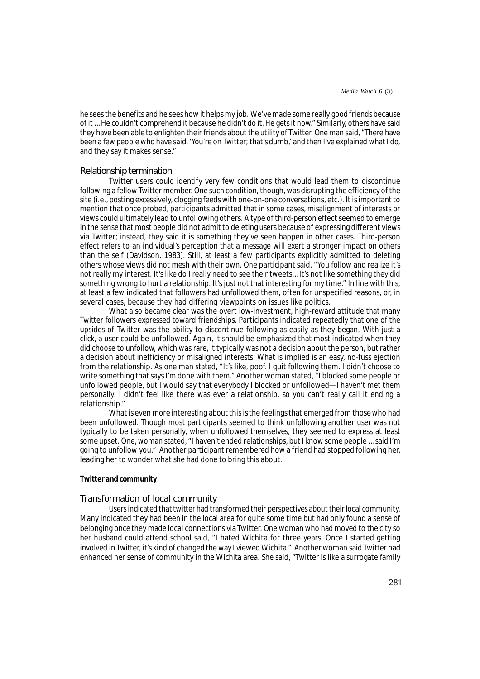he sees the benefits and he sees how it helps my job. We've made some really good friends because of it … He couldn't comprehend it because he didn't do it. He gets it now." Similarly, others have said they have been able to enlighten their friends about the utility of Twitter. One man said, "There have been a few people who have said, 'You're on Twitter; that's dumb,' and then I've explained what I do, and they say it makes sense."

#### Relationship termination

Twitter users could identify very few conditions that would lead them to discontinue following a fellow Twitter member. One such condition, though, was disrupting the efficiency of the site (i.e., posting excessively, clogging feeds with one-on-one conversations, etc.). It is important to mention that once probed, participants admitted that in some cases, misalignment of interests or views could ultimately lead to unfollowing others. A type of third-person effect seemed to emerge in the sense that most people did not admit to deleting users because of expressing different views via Twitter; instead, they said it is something they've seen happen in other cases. Third-person effect refers to an individual's perception that a message will exert a stronger impact on others than the self (Davidson, 1983). Still, at least a few participants explicitly admitted to deleting others whose views did not mesh with their own. One participant said, "You follow and realize it's not really my interest. It's like do I really need to see their tweets… It's not like something they did something wrong to hurt a relationship. It's just not that interesting for my time." In line with this, at least a few indicated that followers had unfollowed them, often for unspecified reasons, or, in several cases, because they had differing viewpoints on issues like politics.

What also became clear was the overt low-investment, high-reward attitude that many Twitter followers expressed toward friendships. Participants indicated repeatedly that one of the upsides of Twitter was the ability to discontinue following as easily as they began. With just a click, a user could be unfollowed. Again, it should be emphasized that most indicated when they did choose to unfollow, which was rare, it typically was not a decision about the person, but rather a decision about inefficiency or misaligned interests. What is implied is an easy, no-fuss ejection from the relationship. As one man stated, "It's like, poof. I quit following them. I didn't choose to write something that says I'm done with them." Another woman stated, "I blocked some people or unfollowed people, but I would say that everybody I blocked or unfollowed—I haven't met them personally. I didn't feel like there was ever a relationship, so you can't really call it ending a relationship."

What is even more interesting about this is the feelings that emerged from those who had been unfollowed. Though most participants seemed to think unfollowing another user was not typically to be taken personally, when unfollowed themselves, they seemed to express at least some upset. One, woman stated, "I haven't ended relationships, but I know some people … said I'm going to unfollow you." Another participant remembered how a friend had stopped following her, leading her to wonder what she had done to bring this about.

#### *Twitter and community*

# Transformation of local community

Users indicated that twitter had transformed their perspectives about their local community. Many indicated they had been in the local area for quite some time but had only found a sense of belonging once they made local connections via Twitter. One woman who had moved to the city so her husband could attend school said, "I hated Wichita for three years. Once I started getting involved in Twitter, it's kind of changed the way I viewed Wichita." Another woman said Twitter had enhanced her sense of community in the Wichita area. She said, "Twitter is like a surrogate family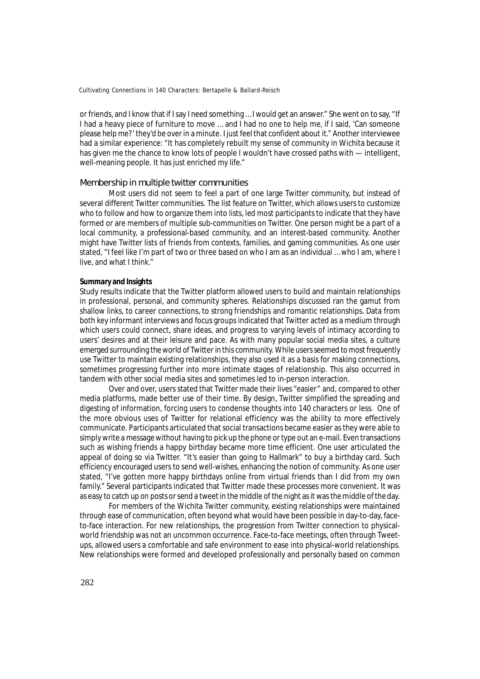or friends, and I know that if I say I need something … I would get an answer." She went on to say, "If I had a heavy piece of furniture to move … and I had no one to help me, if I said, 'Can someone please help me?' they'd be over in a minute. I just feel that confident about it." Another interviewee had a similar experience: "It has completely rebuilt my sense of community in Wichita because it has given me the chance to know lots of people I wouldn't have crossed paths with — intelligent, well-meaning people. It has just enriched my life."

# Membership in multiple twitter communities

Most users did not seem to feel a part of one large Twitter community, but instead of several different Twitter communities. The list feature on Twitter, which allows users to customize who to follow and how to organize them into lists, led most participants to indicate that they have formed or are members of multiple sub-communities on Twitter. One person might be a part of a local community, a professional-based community, and an interest-based community. Another might have Twitter lists of friends from contexts, families, and gaming communities. As one user stated, "I feel like I'm part of two or three based on who I am as an individual … who I am, where I live, and what I think."

# **Summary and Insights**

Study results indicate that the Twitter platform allowed users to build and maintain relationships in professional, personal, and community spheres. Relationships discussed ran the gamut from shallow links, to career connections, to strong friendships and romantic relationships. Data from both key informant interviews and focus groups indicated that Twitter acted as a medium through which users could connect, share ideas, and progress to varying levels of intimacy according to users' desires and at their leisure and pace. As with many popular social media sites, a culture emerged surrounding the world of Twitter in this community. While users seemed to most frequently use Twitter to maintain existing relationships, they also used it as a basis for making connections, sometimes progressing further into more intimate stages of relationship. This also occurred in tandem with other social media sites and sometimes led to in-person interaction.

Over and over, users stated that Twitter made their lives "easier" and, compared to other media platforms, made better use of their time. By design, Twitter simplified the spreading and digesting of information, forcing users to condense thoughts into 140 characters or less. One of the more obvious uses of Twitter for relational efficiency was the ability to more effectively communicate. Participants articulated that social transactions became easier as they were able to simply write a message without having to pick up the phone or type out an e-mail. Even transactions such as wishing friends a happy birthday became more time efficient. One user articulated the appeal of doing so via Twitter. "It's easier than going to Hallmark" to buy a birthday card. Such efficiency encouraged users to send well-wishes, enhancing the notion of community. As one user stated, "I've gotten more happy birthdays online from virtual friends than I did from my own family." Several participants indicated that Twitter made these processes more convenient. It was as easy to catch up on posts or send a tweet in the middle of the night as it was the middle of the day.

For members of the Wichita Twitter community, existing relationships were maintained through ease of communication, often beyond what would have been possible in day-to-day, faceto-face interaction. For new relationships, the progression from Twitter connection to physicalworld friendship was not an uncommon occurrence. Face-to-face meetings, often through Tweetups, allowed users a comfortable and safe environment to ease into physical-world relationships. New relationships were formed and developed professionally and personally based on common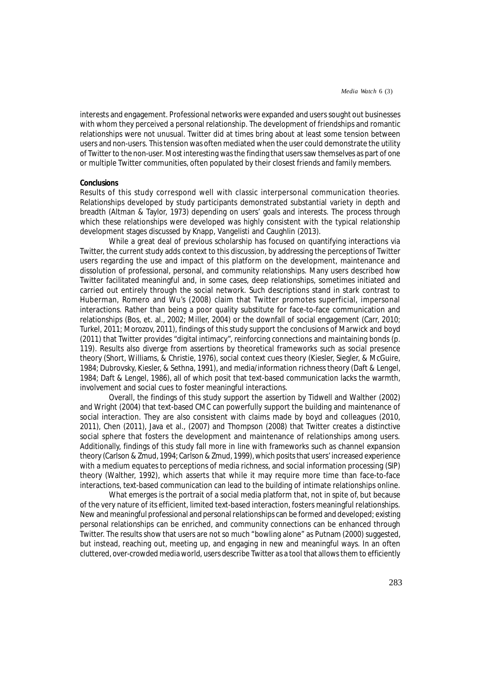interests and engagement. Professional networks were expanded and users sought out businesses with whom they perceived a personal relationship. The development of friendships and romantic relationships were not unusual. Twitter did at times bring about at least some tension between users and non-users. This tension was often mediated when the user could demonstrate the utility of Twitter to the non-user. Most interesting was the finding that users saw themselves as part of one or multiple Twitter communities, often populated by their closest friends and family members.

#### **Conclusions**

Results of this study correspond well with classic interpersonal communication theories. Relationships developed by study participants demonstrated substantial variety in depth and breadth (Altman & Taylor, 1973) depending on users' goals and interests. The process through which these relationships were developed was highly consistent with the typical relationship development stages discussed by Knapp, Vangelisti and Caughlin (2013).

While a great deal of previous scholarship has focused on quantifying interactions via Twitter, the current study adds context to this discussion, by addressing the perceptions of Twitter users regarding the use and impact of this platform on the development, maintenance and dissolution of professional, personal, and community relationships. Many users described how Twitter facilitated meaningful and, in some cases, deep relationships, sometimes initiated and carried out entirely through the social network. Such descriptions stand in stark contrast to Huberman, Romero and Wu's (2008) claim that Twitter promotes superficial, impersonal interactions. Rather than being a poor quality substitute for face-to-face communication and relationships (Bos, et. al., 2002; Miller, 2004) or the downfall of social engagement (Carr, 2010; Turkel, 2011; Morozov, 2011), findings of this study support the conclusions of Marwick and boyd (2011) that Twitter provides "digital intimacy", reinforcing connections and maintaining bonds (p. 119). Results also diverge from assertions by theoretical frameworks such as social presence theory (Short, Williams, & Christie, 1976), social context cues theory (Kiesler, Siegler, & McGuire, 1984; Dubrovsky, Kiesler, & Sethna, 1991), and media/information richness theory (Daft & Lengel, 1984; Daft & Lengel, 1986), all of which posit that text-based communication lacks the warmth, involvement and social cues to foster meaningful interactions.

Overall, the findings of this study support the assertion by Tidwell and Walther (2002) and Wright (2004) that text-based CMC can powerfully support the building and maintenance of social interaction. They are also consistent with claims made by boyd and colleagues (2010, 2011), Chen (2011), Java et al., (2007) and Thompson (2008) that Twitter creates a distinctive social sphere that fosters the development and maintenance of relationships among users. Additionally, findings of this study fall more in line with frameworks such as channel expansion theory (Carlson & Zmud, 1994; Carlson & Zmud, 1999), which posits that users' increased experience with a medium equates to perceptions of media richness, and social information processing (SIP) theory (Walther, 1992), which asserts that while it may require more time than face-to-face interactions, text-based communication can lead to the building of intimate relationships online.

What emerges is the portrait of a social media platform that, not in spite of, but because of the very nature of its efficient, limited text-based interaction, fosters meaningful relationships. New and meaningful professional and personal relationships can be formed and developed; existing personal relationships can be enriched, and community connections can be enhanced through Twitter. The results show that users are not so much "bowling alone" as Putnam (2000) suggested, but instead, reaching out, meeting up, and engaging in new and meaningful ways. In an often cluttered, over-crowded media world, users describe Twitter as a tool that allows them to efficiently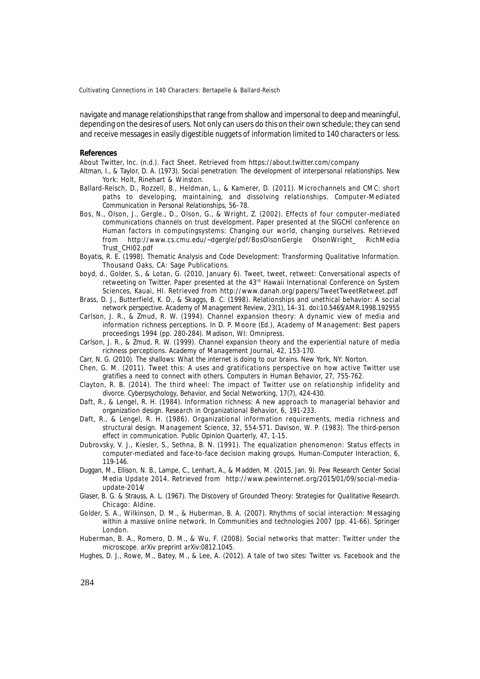navigate and manage relationships that range from shallow and impersonal to deep and meaningful, depending on the desires of users. Not only can users do this on their own schedule; they can send and receive messages in easily digestible nuggets of information limited to 140 characters or less.

#### **References**

About Twitter, Inc. (n.d.). *Fact Sheet.* Retrieved from https://about.twitter.com/company

- Altman, I., & Taylor, D. A. (1973). *Social penetration: The development of interpersonal relationships*. New York: Holt, Rinehart & Winston.
- Ballard-Reisch, D., Rozzell, B., Heldman, L., & Kamerer, D. (2011). Microchannels and CMC: short paths to developing, maintaining, and dissolving relationships. *Computer-Mediated Communication in Personal Relationships*, 56–78.
- Bos, N., Olson, J., Gergle., D., Olson, G., & Wright, Z. (2002). *Effects of four computer-mediated communications channels on trust development.* Paper presented at the SIGCHI conference on Human factors in computingsystems: Changing our world, changing ourselves. Retrieved from http://www.cs.cmu.edu/~dgergle/pdf/BosOlsonGergle OlsonWright\_ RichMedia Trust\_CHI02.pdf
- Boyatis, R. E. (1998). *Thematic Analysis and Code Development: Transforming Qualitative Information.* Thousand Oaks, CA: Sage Publications.
- boyd, d., Golder, S., & Lotan, G. (2010, January 6). Tweet, tweet, retweet: Conversational aspects of retweeting on Twitter. Paper presented at the 43<sup>rd</sup> Hawaii International Conference on System Sciences, Kauai, HI. Retrieved from http://www.danah.org/papers/TweetTweetRetweet.pdf
- Brass, D. J., Butterfield, K. D., & Skaggs, B. C. (1998). Relationships and unethical behavior: A social network perspective. *Academy of Management Review*, *23*(1), 14–31. doi:10.5465/AMR.1998.192955
- Carlson, J. R., & Zmud, R. W. (1994). Channel expansion theory: A dynamic view of media and information richness perceptions. In D. P. Moore (Ed.), *Academy of Management: Best papers proceedings 1994* (pp. 280-284). Madison, WI: Omnipress.
- Carlson, J. R., & Zmud, R. W. (1999). Channel expansion theory and the experiential nature of media richness perceptions. *Academy of Management Journal, 42,* 153-170.
- Carr, N. G. (2010). *The shallows: What the internet is doing to our brains*. New York, NY: Norton.
- Chen, G. M. (2011). Tweet this: A uses and gratifications perspective on how active Twitter use gratifies a need to connect with others. *Computers in Human Behavior, 27,* 755-762.
- Clayton, R. B. (2014). The third wheel: The impact of Twitter use on relationship infidelity and divorce. *Cyberpsychology, Behavior, and Social Networking, 17*(7), 424-430.
- Daft, R., & Lengel, R. H. (1984). Information richness: A new approach to managerial behavior and organization design. *Research in Organizational Behavior, 6,* 191-233.
- Daft, R., & Lengel, R. H. (1986). Organizational information requirements, media richness and structural design. *Management Science, 32,* 554-571. Davison, W. P. (1983). The third-person effect in communication. *Public Opinion Quarterly, 47,* 1-15.
- Dubrovsky, V. J., Kiesler, S., Sethna, B. N. (1991). The equalization phenomenon: Status effects in computer-mediated and face-to-face decision making groups. *Human-Computer Interaction, 6,* 119-146.
- Duggan, M., Ellison, N. B., Lampe, C., Lenhart, A., & Madden, M. (2015, Jan. 9). *Pew Research Center Social Media Update 2014.* Retrieved from http://www.pewinternet.org/2015/01/09/social-mediaupdate-2014/
- Glaser, B. G. & Strauss, A. L. (1967). *The Discovery of Grounded Theory: Strategies for Qualitative Research.* Chicago: Aldine.
- Golder, S. A., Wilkinson, D. M., & Huberman, B. A. (2007). Rhythms of social interaction: Messaging within a massive online network. In *Communities and technologies 2007* (pp. 41-66). Springer London.
- Huberman, B. A., Romero, D. M., & Wu, F. (2008). Social networks that matter: Twitter under the microscope. *arXiv preprint arXiv:0812.1045*.
- Hughes, D. J., Rowe, M., Batey, M., & Lee, A. (2012). A tale of two sites: Twitter vs. Facebook and the